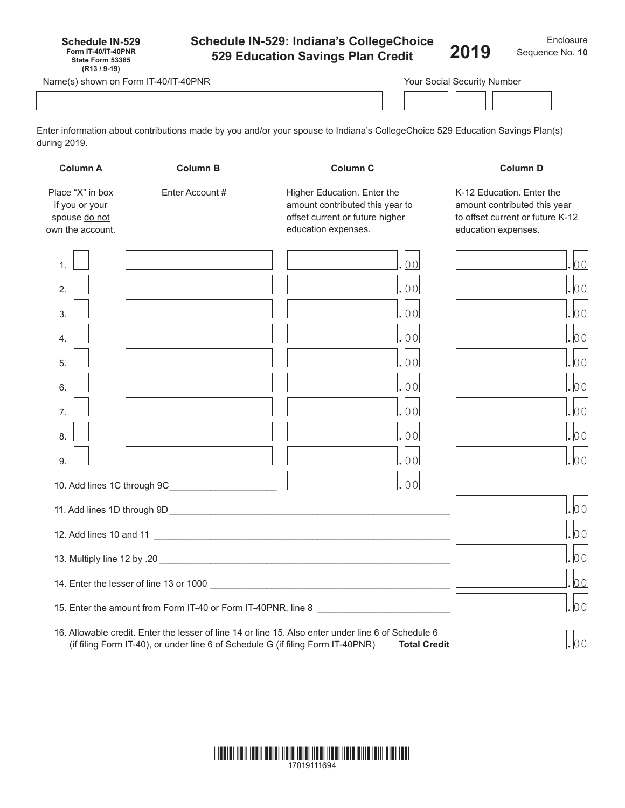| <b>Schedule IN-529</b>     |  |
|----------------------------|--|
| <b>Form IT-40/IT-40PNR</b> |  |
| State Form 53385           |  |
| $(R13/9-19)$               |  |

# **Schedule IN-529: Indiana's CollegeChoice 529 Education Savings Plan Credit**

Name(s) shown on Form IT-40/IT-40PNR

| Your Social Security Number |  |
|-----------------------------|--|
|-----------------------------|--|

Enter information about contributions made by you and/or your spouse to Indiana's CollegeChoice 529 Education Savings Plan(s) during 2019.

| <b>Column A</b>                                                         | <b>Column B</b> | <b>Column C</b>                                                                                                                                                                                               | <b>Column D</b>                                                                                                      |
|-------------------------------------------------------------------------|-----------------|---------------------------------------------------------------------------------------------------------------------------------------------------------------------------------------------------------------|----------------------------------------------------------------------------------------------------------------------|
| Place "X" in box<br>if you or your<br>spouse do not<br>own the account. | Enter Account # | Higher Education. Enter the<br>amount contributed this year to<br>offset current or future higher<br>education expenses.                                                                                      | K-12 Education. Enter the<br>amount contributed this year<br>to offset current or future K-12<br>education expenses. |
| 1.                                                                      |                 | 00                                                                                                                                                                                                            | 00                                                                                                                   |
| $\overline{2}$ .                                                        |                 | 00                                                                                                                                                                                                            | 00                                                                                                                   |
| 3.                                                                      |                 | 00                                                                                                                                                                                                            | 00                                                                                                                   |
| $\overline{4}$                                                          |                 | 00                                                                                                                                                                                                            | 00                                                                                                                   |
| 5.                                                                      |                 | 00                                                                                                                                                                                                            | 00                                                                                                                   |
| 6.                                                                      |                 | 00                                                                                                                                                                                                            | 00                                                                                                                   |
| $\overline{7}$ .                                                        |                 | 00                                                                                                                                                                                                            | 00                                                                                                                   |
| 8.                                                                      |                 | 00                                                                                                                                                                                                            | 00                                                                                                                   |
| 9.                                                                      |                 | 00                                                                                                                                                                                                            | 00                                                                                                                   |
|                                                                         |                 | 00                                                                                                                                                                                                            |                                                                                                                      |
|                                                                         |                 |                                                                                                                                                                                                               | 00                                                                                                                   |
|                                                                         |                 |                                                                                                                                                                                                               | 00                                                                                                                   |
|                                                                         |                 |                                                                                                                                                                                                               | 00                                                                                                                   |
|                                                                         |                 |                                                                                                                                                                                                               | 00                                                                                                                   |
|                                                                         |                 | 15. Enter the amount from Form IT-40 or Form IT-40PNR, line 8                                                                                                                                                 | 00                                                                                                                   |
|                                                                         |                 | 16. Allowable credit. Enter the lesser of line 14 or line 15. Also enter under line 6 of Schedule 6<br>(if filing Form IT-40), or under line 6 of Schedule G (if filing Form IT-40PNR)<br><b>Total Credit</b> | 00                                                                                                                   |

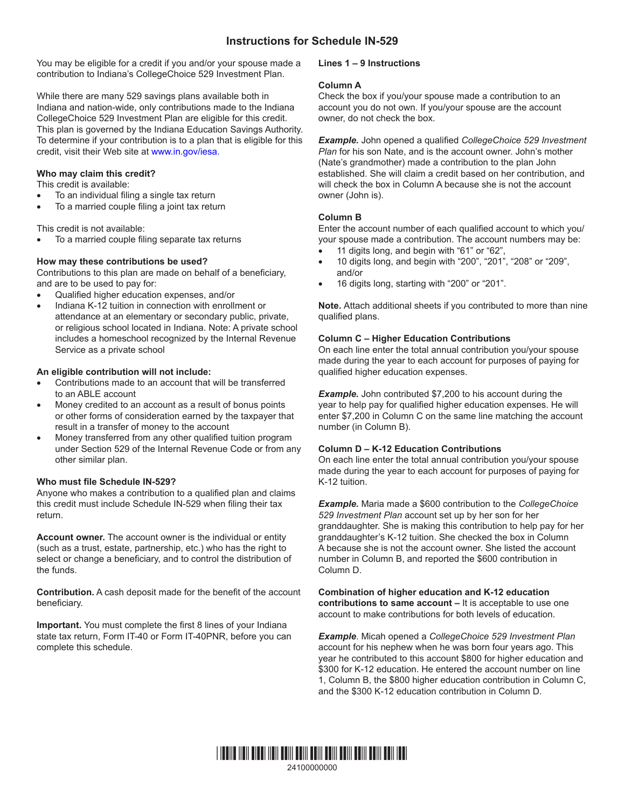# **Instructions for Schedule IN-529**

You may be eligible for a credit if you and/or your spouse made a contribution to Indiana's CollegeChoice 529 Investment Plan.

While there are many 529 savings plans available both in Indiana and nation-wide, only contributions made to the Indiana CollegeChoice 529 Investment Plan are eligible for this credit. This plan is governed by the Indiana Education Savings Authority. To determine if your contribution is to a plan that is eligible for this credit, visit their Web site at www.in.gov/iesa.

#### **Who may claim this credit?**

This credit is available:

- To an individual filing a single tax return
- To a married couple filing a joint tax return

This credit is not available:

To a married couple filing separate tax returns

# **How may these contributions be used?**

Contributions to this plan are made on behalf of a beneficiary, and are to be used to pay for:

- Qualified higher education expenses, and/or
- Indiana K-12 tuition in connection with enrollment or attendance at an elementary or secondary public, private, or religious school located in Indiana. Note: A private school includes a homeschool recognized by the Internal Revenue Service as a private school

# **An eligible contribution will not include:**

- Contributions made to an account that will be transferred to an ABLE account
- Money credited to an account as a result of bonus points or other forms of consideration earned by the taxpayer that result in a transfer of money to the account
- Money transferred from any other qualified tuition program under Section 529 of the Internal Revenue Code or from any other similar plan.

#### **Who must file Schedule IN-529?**

Anyone who makes a contribution to a qualified plan and claims this credit must include Schedule IN-529 when filing their tax return.

**Account owner.** The account owner is the individual or entity (such as a trust, estate, partnership, etc.) who has the right to select or change a beneficiary, and to control the distribution of the funds.

**Contribution.** A cash deposit made for the benefit of the account beneficiary.

**Important.** You must complete the first 8 lines of your Indiana state tax return, Form IT-40 or Form IT-40PNR, before you can complete this schedule.

# **Lines 1 – 9 Instructions**

#### **Column A**

Check the box if you/your spouse made a contribution to an account you do not own. If you/your spouse are the account owner, do not check the box.

*Example.* John opened a qualified *CollegeChoice 529 Investment Plan* for his son Nate, and is the account owner. John's mother (Nate's grandmother) made a contribution to the plan John established. She will claim a credit based on her contribution, and will check the box in Column A because she is not the account owner (John is).

# **Column B**

Enter the account number of each qualified account to which you/ your spouse made a contribution. The account numbers may be:

- 11 digits long, and begin with "61" or "62",
- 10 digits long, and begin with "200", "201", "208" or "209", and/or
- 16 digits long, starting with "200" or "201".

**Note.** Attach additional sheets if you contributed to more than nine qualified plans.

# **Column C – Higher Education Contributions**

On each line enter the total annual contribution you/your spouse made during the year to each account for purposes of paying for qualified higher education expenses.

**Example.** John contributed \$7,200 to his account during the year to help pay for qualified higher education expenses. He will enter \$7,200 in Column C on the same line matching the account number (in Column B).

# **Column D – K-12 Education Contributions**

On each line enter the total annual contribution you/your spouse made during the year to each account for purposes of paying for K-12 tuition.

*Example.* Maria made a \$600 contribution to the *CollegeChoice 529 Investment Plan* account set up by her son for her granddaughter. She is making this contribution to help pay for her granddaughter's K-12 tuition. She checked the box in Column A because she is not the account owner. She listed the account number in Column B, and reported the \$600 contribution in Column D.

#### **Combination of higher education and K-12 education contributions to same account –** It is acceptable to use one account to make contributions for both levels of education.

*Example*. Micah opened a *CollegeChoice 529 Investment Plan* account for his nephew when he was born four years ago. This year he contributed to this account \$800 for higher education and \$300 for K-12 education. He entered the account number on line 1, Column B, the \$800 higher education contribution in Column C, and the \$300 K-12 education contribution in Column D.